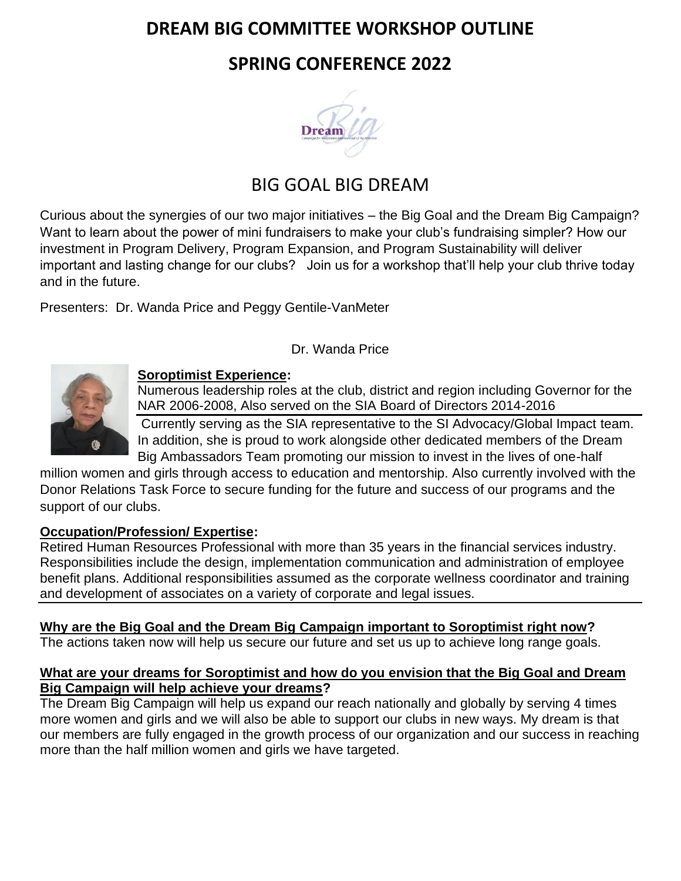## **DREAM BIG COMMITTEE WORKSHOP OUTLINE**

## **SPRING CONFERENCE 2022**



# BIG GOAL BIG DREAM

Curious about the synergies of our two major initiatives – the Big Goal and the Dream Big Campaign? Want to learn about the power of mini fundraisers to make your club's fundraising simpler? How our investment in Program Delivery, Program Expansion, and Program Sustainability will deliver important and lasting change for our clubs? Join us for a workshop that'll help your club thrive today and in the future.

Presenters: Dr. Wanda Price and Peggy Gentile-VanMeter

## Dr. Wanda Price



### **Soroptimist Experience:**

Numerous leadership roles at the club, district and region including Governor for the NAR 2006-2008, Also served on the SIA Board of Directors 2014-2016

Currently serving as the SIA representative to the SI Advocacy/Global Impact team. In addition, she is proud to work alongside other dedicated members of the Dream Big Ambassadors Team promoting our mission to invest in the lives of one-half

million women and girls through access to education and mentorship. Also currently involved with the Donor Relations Task Force to secure funding for the future and success of our programs and the support of our clubs.

## **Occupation/Profession/ Expertise:**

Retired Human Resources Professional with more than 35 years in the financial services industry. Responsibilities include the design, implementation communication and administration of employee benefit plans. Additional responsibilities assumed as the corporate wellness coordinator and training and development of associates on a variety of corporate and legal issues.

## **Why are the Big Goal and the Dream Big Campaign important to Soroptimist right now?**

The actions taken now will help us secure our future and set us up to achieve long range goals.

### **What are your dreams for Soroptimist and how do you envision that the Big Goal and Dream Big Campaign will help achieve your dreams?**

The Dream Big Campaign will help us expand our reach nationally and globally by serving 4 times more women and girls and we will also be able to support our clubs in new ways. My dream is that our members are fully engaged in the growth process of our organization and our success in reaching more than the half million women and girls we have targeted.